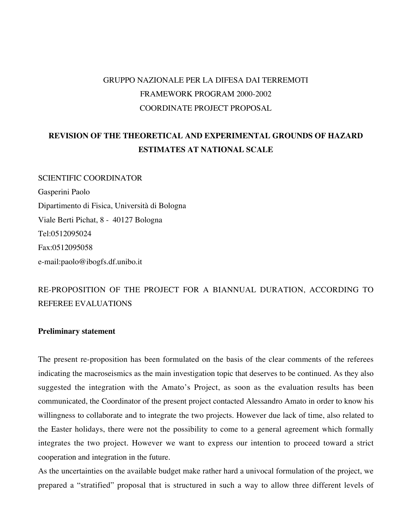# GRUPPO NAZIONALE PER LA DIFESA DAI TERREMOTI FRAMEWORK PROGRAM 2000-2002 COORDINATE PROJECT PROPOSAL

# **REVISION OF THE THEORETICAL AND EXPERIMENTAL GROUNDS OF HAZARD ESTIMATES AT NATIONAL SCALE**

SCIENTIFIC COORDINATOR Gasperini Paolo Dipartimento di Fisica, Università di Bologna Viale Berti Pichat, 8 - 40127 Bologna Tel:0512095024 Fax:0512095058 e-mail:paolo@ibogfs.df.unibo.it

# RE-PROPOSITION OF THE PROJECT FOR A BIANNUAL DURATION, ACCORDING TO REFEREE EVALUATIONS

#### **Preliminary statement**

The present re-proposition has been formulated on the basis of the clear comments of the referees indicating the macroseismics as the main investigation topic that deserves to be continued. As they also suggested the integration with the Amato's Project, as soon as the evaluation results has been communicated, the Coordinator of the present project contacted Alessandro Amato in order to know his willingness to collaborate and to integrate the two projects. However due lack of time, also related to the Easter holidays, there were not the possibility to come to a general agreement which formally integrates the two project. However we want to express our intention to proceed toward a strict cooperation and integration in the future.

As the uncertainties on the available budget make rather hard a univocal formulation of the project, we prepared a "stratified" proposal that is structured in such a way to allow three different levels of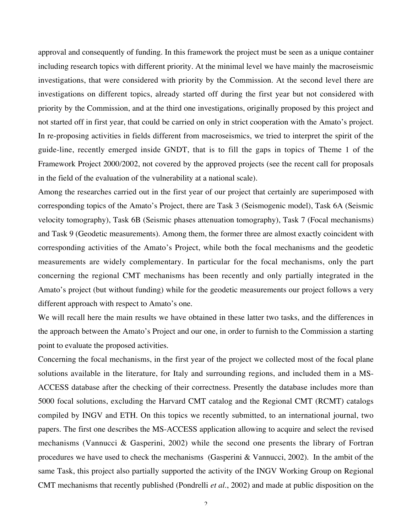approval and consequently of funding. In this framework the project must be seen as a unique container including research topics with different priority. At the minimal level we have mainly the macroseismic investigations, that were considered with priority by the Commission. At the second level there are investigations on different topics, already started off during the first year but not considered with priority by the Commission, and at the third one investigations, originally proposed by this project and not started off in first year, that could be carried on only in strict cooperation with the Amato's project. In re-proposing activities in fields different from macroseismics, we tried to interpret the spirit of the guide-line, recently emerged inside GNDT, that is to fill the gaps in topics of Theme 1 of the Framework Project 2000/2002, not covered by the approved projects (see the recent call for proposals in the field of the evaluation of the vulnerability at a national scale).

Among the researches carried out in the first year of our project that certainly are superimposed with corresponding topics of the Amato's Project, there are Task 3 (Seismogenic model), Task 6A (Seismic velocity tomography), Task 6B (Seismic phases attenuation tomography), Task 7 (Focal mechanisms) and Task 9 (Geodetic measurements). Among them, the former three are almost exactly coincident with corresponding activities of the Amato's Project, while both the focal mechanisms and the geodetic measurements are widely complementary. In particular for the focal mechanisms, only the part concerning the regional CMT mechanisms has been recently and only partially integrated in the Amato's project (but without funding) while for the geodetic measurements our project follows a very different approach with respect to Amato's one.

We will recall here the main results we have obtained in these latter two tasks, and the differences in the approach between the Amato's Project and our one, in order to furnish to the Commission a starting point to evaluate the proposed activities.

Concerning the focal mechanisms, in the first year of the project we collected most of the focal plane solutions available in the literature, for Italy and surrounding regions, and included them in a MS-ACCESS database after the checking of their correctness. Presently the database includes more than 5000 focal solutions, excluding the Harvard CMT catalog and the Regional CMT (RCMT) catalogs compiled by INGV and ETH. On this topics we recently submitted, to an international journal, two papers. The first one describes the MS-ACCESS application allowing to acquire and select the revised mechanisms (Vannucci & Gasperini, 2002) while the second one presents the library of Fortran procedures we have used to check the mechanisms (Gasperini & Vannucci, 2002). In the ambit of the same Task, this project also partially supported the activity of the INGV Working Group on Regional CMT mechanisms that recently published (Pondrelli *et al.*, 2002) and made at public disposition on the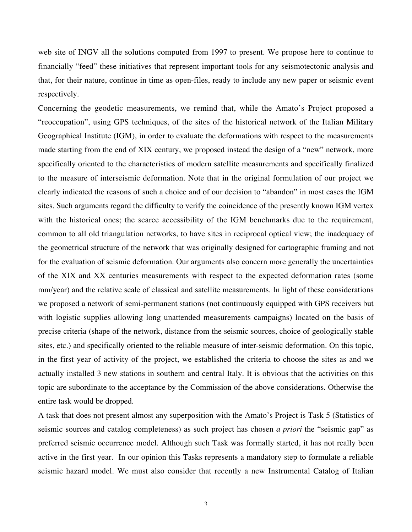web site of INGV all the solutions computed from 1997 to present. We propose here to continue to financially "feed" these initiatives that represent important tools for any seismotectonic analysis and that, for their nature, continue in time as open-files, ready to include any new paper or seismic event respectively.

Concerning the geodetic measurements, we remind that, while the Amato's Project proposed a "reoccupation", using GPS techniques, of the sites of the historical network of the Italian Military Geographical Institute (IGM), in order to evaluate the deformations with respect to the measurements made starting from the end of XIX century, we proposed instead the design of a "new" network, more specifically oriented to the characteristics of modern satellite measurements and specifically finalized to the measure of interseismic deformation. Note that in the original formulation of our project we clearly indicated the reasons of such a choice and of our decision to "abandon" in most cases the IGM sites. Such arguments regard the difficulty to verify the coincidence of the presently known IGM vertex with the historical ones; the scarce accessibility of the IGM benchmarks due to the requirement, common to all old triangulation networks, to have sites in reciprocal optical view; the inadequacy of the geometrical structure of the network that was originally designed for cartographic framing and not for the evaluation of seismic deformation. Our arguments also concern more generally the uncertainties of the XIX and XX centuries measurements with respect to the expected deformation rates (some mm/year) and the relative scale of classical and satellite measurements. In light of these considerations we proposed a network of semi-permanent stations (not continuously equipped with GPS receivers but with logistic supplies allowing long unattended measurements campaigns) located on the basis of precise criteria (shape of the network, distance from the seismic sources, choice of geologically stable sites, etc.) and specifically oriented to the reliable measure of inter-seismic deformation. On this topic, in the first year of activity of the project, we established the criteria to choose the sites as and we actually installed 3 new stations in southern and central Italy. It is obvious that the activities on this topic are subordinate to the acceptance by the Commission of the above considerations. Otherwise the entire task would be dropped.

A task that does not present almost any superposition with the Amato's Project is Task 5 (Statistics of seismic sources and catalog completeness) as such project has chosen *a priori* the "seismic gap" as preferred seismic occurrence model. Although such Task was formally started, it has not really been active in the first year. In our opinion this Tasks represents a mandatory step to formulate a reliable seismic hazard model. We must also consider that recently a new Instrumental Catalog of Italian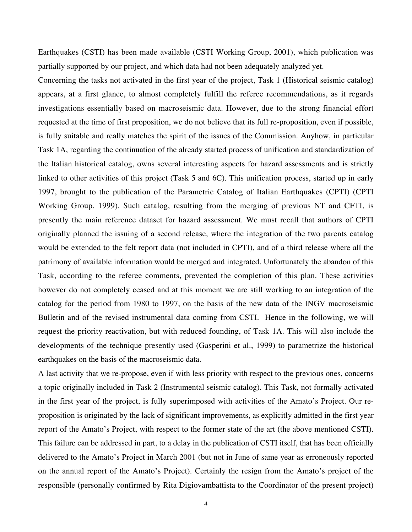Earthquakes (CSTI) has been made available (CSTI Working Group, 2001), which publication was partially supported by our project, and which data had not been adequately analyzed yet.

Concerning the tasks not activated in the first year of the project, Task 1 (Historical seismic catalog) appears, at a first glance, to almost completely fulfill the referee recommendations, as it regards investigations essentially based on macroseismic data. However, due to the strong financial effort requested at the time of first proposition, we do not believe that its full re-proposition, even if possible, is fully suitable and really matches the spirit of the issues of the Commission. Anyhow, in particular Task 1A, regarding the continuation of the already started process of unification and standardization of the Italian historical catalog, owns several interesting aspects for hazard assessments and is strictly linked to other activities of this project (Task 5 and 6C). This unification process, started up in early 1997, brought to the publication of the Parametric Catalog of Italian Earthquakes (CPTI) (CPTI Working Group, 1999). Such catalog, resulting from the merging of previous NT and CFTI, is presently the main reference dataset for hazard assessment. We must recall that authors of CPTI originally planned the issuing of a second release, where the integration of the two parents catalog would be extended to the felt report data (not included in CPTI), and of a third release where all the patrimony of available information would be merged and integrated. Unfortunately the abandon of this Task, according to the referee comments, prevented the completion of this plan. These activities however do not completely ceased and at this moment we are still working to an integration of the catalog for the period from 1980 to 1997, on the basis of the new data of the INGV macroseismic Bulletin and of the revised instrumental data coming from CSTI. Hence in the following, we will request the priority reactivation, but with reduced founding, of Task 1A. This will also include the developments of the technique presently used (Gasperini et al., 1999) to parametrize the historical earthquakes on the basis of the macroseismic data.

A last activity that we re-propose, even if with less priority with respect to the previous ones, concerns a topic originally included in Task 2 (Instrumental seismic catalog). This Task, not formally activated in the first year of the project, is fully superimposed with activities of the Amato's Project. Our reproposition is originated by the lack of significant improvements, as explicitly admitted in the first year report of the Amato's Project, with respect to the former state of the art (the above mentioned CSTI). This failure can be addressed in part, to a delay in the publication of CSTI itself, that has been officially delivered to the Amato's Project in March 2001 (but not in June of same year as erroneously reported on the annual report of the Amato's Project). Certainly the resign from the Amato's project of the responsible (personally confirmed by Rita Digiovambattista to the Coordinator of the present project)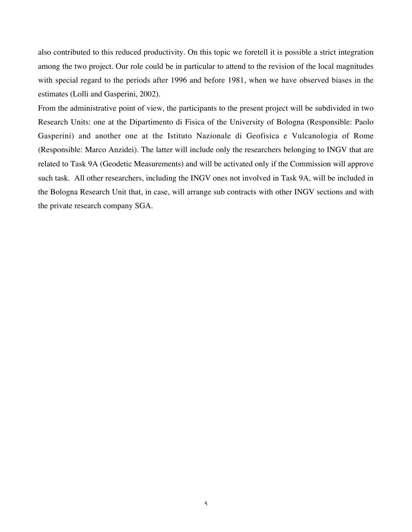also contributed to this reduced productivity. On this topic we foretell it is possible a strict integration among the two project. Our role could be in particular to attend to the revision of the local magnitudes with special regard to the periods after 1996 and before 1981, when we have observed biases in the estimates (Lolli and Gasperini, 2002).

From the administrative point of view, the participants to the present project will be subdivided in two Research Units: one at the Dipartimento di Fisica of the University of Bologna (Responsible: Paolo Gasperini) and another one at the Istituto Nazionale di Geofisica e Vulcanologia of Rome (Responsible: Marco Anzidei). The latter will include only the researchers belonging to INGV that are related to Task 9A (Geodetic Measurements) and will be activated only if the Commission will approve such task. All other researchers, including the INGV ones not involved in Task 9A, will be included in the Bologna Research Unit that, in case, will arrange sub contracts with other INGV sections and with the private research company SGA.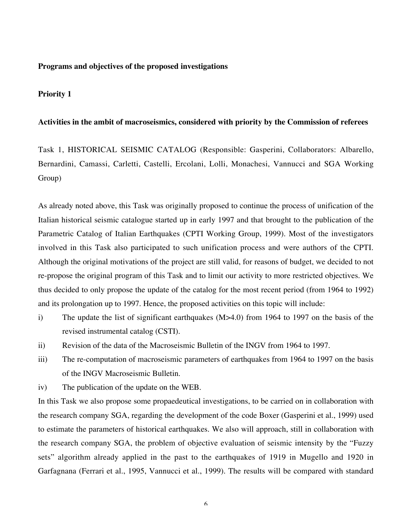#### **Programs and objectives of the proposed investigations**

#### **Priority 1**

#### **Activities in the ambit of macroseismics, considered with priority by the Commission of referees**

Task 1, HISTORICAL SEISMIC CATALOG (Responsible: Gasperini, Collaborators: Albarello, Bernardini, Camassi, Carletti, Castelli, Ercolani, Lolli, Monachesi, Vannucci and SGA Working Group)

As already noted above, this Task was originally proposed to continue the process of unification of the Italian historical seismic catalogue started up in early 1997 and that brought to the publication of the Parametric Catalog of Italian Earthquakes (CPTI Working Group, 1999). Most of the investigators involved in this Task also participated to such unification process and were authors of the CPTI. Although the original motivations of the project are still valid, for reasons of budget, we decided to not re-propose the original program of this Task and to limit our activity to more restricted objectives. We thus decided to only propose the update of the catalog for the most recent period (from 1964 to 1992) and its prolongation up to 1997. Hence, the proposed activities on this topic will include:

- i) The update the list of significant earthquakes (M>4.0) from 1964 to 1997 on the basis of the revised instrumental catalog (CSTI).
- ii) Revision of the data of the Macroseismic Bulletin of the INGV from 1964 to 1997.
- iii) The re-computation of macroseismic parameters of earthquakes from 1964 to 1997 on the basis of the INGV Macroseismic Bulletin.
- iv) The publication of the update on the WEB.

In this Task we also propose some propaedeutical investigations, to be carried on in collaboration with the research company SGA, regarding the development of the code Boxer (Gasperini et al., 1999) used to estimate the parameters of historical earthquakes. We also will approach, still in collaboration with the research company SGA, the problem of objective evaluation of seismic intensity by the "Fuzzy sets" algorithm already applied in the past to the earthquakes of 1919 in Mugello and 1920 in Garfagnana (Ferrari et al., 1995, Vannucci et al., 1999). The results will be compared with standard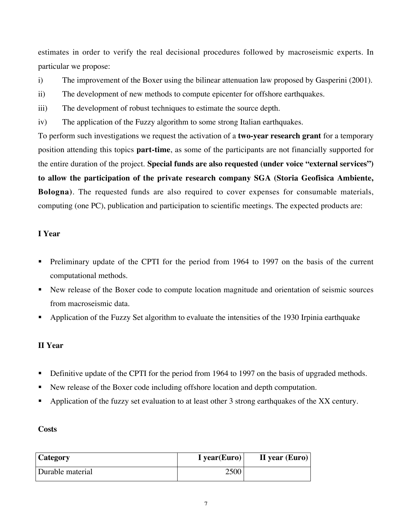estimates in order to verify the real decisional procedures followed by macroseismic experts. In particular we propose:

- i) The improvement of the Boxer using the bilinear attenuation law proposed by Gasperini (2001).
- ii) The development of new methods to compute epicenter for offshore earthquakes.
- iii) The development of robust techniques to estimate the source depth.
- iv) The application of the Fuzzy algorithm to some strong Italian earthquakes.

To perform such investigations we request the activation of a **two-year research grant** for a temporary position attending this topics **part-time**, as some of the participants are not financially supported for the entire duration of the project. **Special funds are also requested (under voice "external services") to allow the participation of the private research company SGA (Storia Geofisica Ambiente, Bologna)**. The requested funds are also required to cover expenses for consumable materials, computing (one PC), publication and participation to scientific meetings. The expected products are:

## **I Year**

- Preliminary update of the CPTI for the period from 1964 to 1997 on the basis of the current computational methods.
- New release of the Boxer code to compute location magnitude and orientation of seismic sources from macroseismic data.
- Application of the Fuzzy Set algorithm to evaluate the intensities of the 1930 Irpinia earthquake

## **II Year**

- Definitive update of the CPTI for the period from 1964 to 1997 on the basis of upgraded methods.
- New release of the Boxer code including offshore location and depth computation.
- Application of the fuzzy set evaluation to at least other 3 strong earthquakes of the XX century.

### **Costs**

| <b>Category</b>  | I year(Euro) | II year $(Euro)$ |
|------------------|--------------|------------------|
| Durable material | 2500         |                  |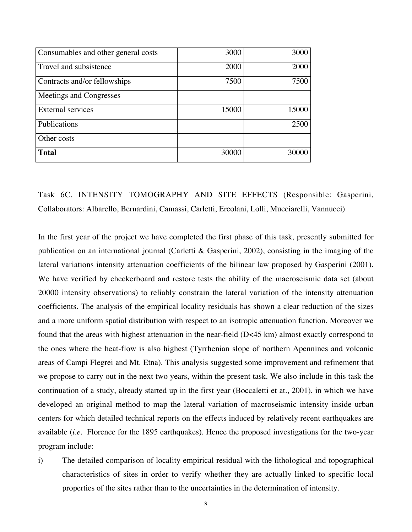| Consumables and other general costs | 3000  | 3000  |
|-------------------------------------|-------|-------|
| Travel and subsistence              | 2000  | 2000  |
| Contracts and/or fellowships        | 7500  | 7500  |
| Meetings and Congresses             |       |       |
| <b>External services</b>            | 15000 | 15000 |
| Publications                        |       | 2500  |
| Other costs                         |       |       |
| <b>Total</b>                        | 30000 | 30000 |

Task 6C, INTENSITY TOMOGRAPHY AND SITE EFFECTS (Responsible: Gasperini, Collaborators: Albarello, Bernardini, Camassi, Carletti, Ercolani, Lolli, Mucciarelli, Vannucci)

In the first year of the project we have completed the first phase of this task, presently submitted for publication on an international journal (Carletti & Gasperini, 2002), consisting in the imaging of the lateral variations intensity attenuation coefficients of the bilinear law proposed by Gasperini (2001). We have verified by checkerboard and restore tests the ability of the macroseismic data set (about 20000 intensity observations) to reliably constrain the lateral variation of the intensity attenuation coefficients. The analysis of the empirical locality residuals has shown a clear reduction of the sizes and a more uniform spatial distribution with respect to an isotropic attenuation function. Moreover we found that the areas with highest attenuation in the near-field (D<45 km) almost exactly correspond to the ones where the heat-flow is also highest (Tyrrhenian slope of northern Apennines and volcanic areas of Campi Flegrei and Mt. Etna). This analysis suggested some improvement and refinement that we propose to carry out in the next two years, within the present task. We also include in this task the continuation of a study, already started up in the first year (Boccaletti et at., 2001), in which we have developed an original method to map the lateral variation of macroseismic intensity inside urban centers for which detailed technical reports on the effects induced by relatively recent earthquakes are available (*i.e.* Florence for the 1895 earthquakes). Hence the proposed investigations for the two-year program include:

i) The detailed comparison of locality empirical residual with the lithological and topographical characteristics of sites in order to verify whether they are actually linked to specific local properties of the sites rather than to the uncertainties in the determination of intensity.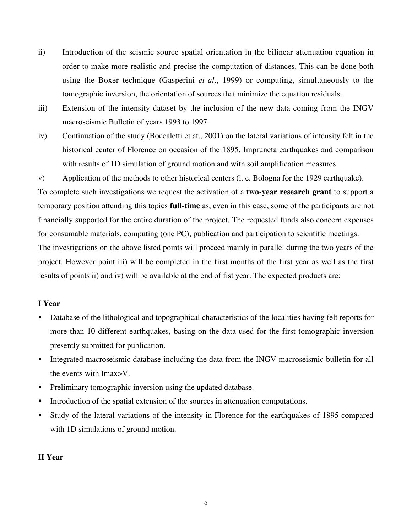- ii) Introduction of the seismic source spatial orientation in the bilinear attenuation equation in order to make more realistic and precise the computation of distances. This can be done both using the Boxer technique (Gasperini *et al.*, 1999) or computing, simultaneously to the tomographic inversion, the orientation of sources that minimize the equation residuals.
- iii) Extension of the intensity dataset by the inclusion of the new data coming from the INGV macroseismic Bulletin of years 1993 to 1997.
- iv) Continuation of the study (Boccaletti et at., 2001) on the lateral variations of intensity felt in the historical center of Florence on occasion of the 1895, Impruneta earthquakes and comparison with results of 1D simulation of ground motion and with soil amplification measures
- v) Application of the methods to other historical centers (i. e. Bologna for the 1929 earthquake).

To complete such investigations we request the activation of a **two-year research grant** to support a temporary position attending this topics **full-time** as, even in this case, some of the participants are not financially supported for the entire duration of the project. The requested funds also concern expenses for consumable materials, computing (one PC), publication and participation to scientific meetings. The investigations on the above listed points will proceed mainly in parallel during the two years of the project. However point iii) will be completed in the first months of the first year as well as the first

results of points ii) and iv) will be available at the end of fist year. The expected products are:

### **I Year**

- Database of the lithological and topographical characteristics of the localities having felt reports for more than 10 different earthquakes, basing on the data used for the first tomographic inversion presently submitted for publication.
- Integrated macroseismic database including the data from the INGV macroseismic bulletin for all the events with Imax>V.
- **Preliminary tomographic inversion using the updated database.**
- Introduction of the spatial extension of the sources in attenuation computations.
- Study of the lateral variations of the intensity in Florence for the earthquakes of 1895 compared with 1D simulations of ground motion.

#### **II Year**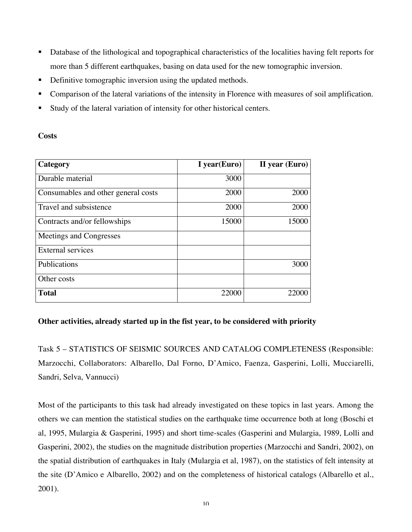- Database of the lithological and topographical characteristics of the localities having felt reports for more than 5 different earthquakes, basing on data used for the new tomographic inversion.
- Definitive tomographic inversion using the updated methods.
- Comparison of the lateral variations of the intensity in Florence with measures of soil amplification.
- Study of the lateral variation of intensity for other historical centers.

### **Costs**

| Category                            | I year(Euro) | II year (Euro) |
|-------------------------------------|--------------|----------------|
| Durable material                    | 3000         |                |
| Consumables and other general costs | 2000         | 2000           |
| Travel and subsistence              | 2000         | 2000           |
| Contracts and/or fellowships        | 15000        | 15000          |
| Meetings and Congresses             |              |                |
| <b>External services</b>            |              |                |
| Publications                        |              | 3000           |
| Other costs                         |              |                |
| <b>Total</b>                        | 22000        | 22000          |

## **Other activities, already started up in the fist year, to be considered with priority**

Task 5 – STATISTICS OF SEISMIC SOURCES AND CATALOG COMPLETENESS (Responsible: Marzocchi, Collaborators: Albarello, Dal Forno, D'Amico, Faenza, Gasperini, Lolli, Mucciarelli, Sandri, Selva, Vannucci)

Most of the participants to this task had already investigated on these topics in last years. Among the others we can mention the statistical studies on the earthquake time occurrence both at long (Boschi et al, 1995, Mulargia & Gasperini, 1995) and short time-scales (Gasperini and Mulargia, 1989, Lolli and Gasperini, 2002), the studies on the magnitude distribution properties (Marzocchi and Sandri, 2002), on the spatial distribution of earthquakes in Italy (Mulargia et al, 1987), on the statistics of felt intensity at the site (D'Amico e Albarello, 2002) and on the completeness of historical catalogs (Albarello et al., 2001).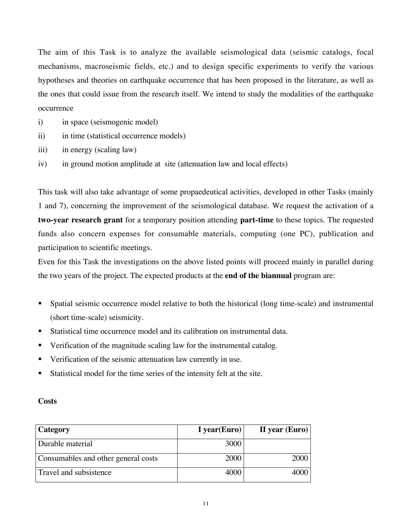The aim of this Task is to analyze the available seismological data (seismic catalogs, focal mechanisms, macroseismic fields, etc.) and to design specific experiments to verify the various hypotheses and theories on earthquake occurrence that has been proposed in the literature, as well as the ones that could issue from the research itself. We intend to study the modalities of the earthquake occurrence

- i) in space (seismogenic model)
- ii) in time (statistical occurrence models)
- iii) in energy (scaling law)
- iv) in ground motion amplitude at site (attenuation law and local effects)

This task will also take advantage of some propaedeutical activities, developed in other Tasks (mainly 1 and 7), concerning the improvement of the seismological database. We request the activation of a **two-year research grant** for a temporary position attending **part-time** to these topics. The requested funds also concern expenses for consumable materials, computing (one PC), publication and participation to scientific meetings.

Even for this Task the investigations on the above listed points will proceed mainly in parallel during the two years of the project. The expected products at the **end of the biannual** program are:

- Spatial seismic occurrence model relative to both the historical (long time-scale) and instrumental (short time-scale) seismicity.
- Statistical time occurrence model and its calibration on instrumental data.
- Verification of the magnitude scaling law for the instrumental catalog.
- Verification of the seismic attenuation law currently in use.
- Statistical model for the time series of the intensity felt at the site.

| ۰.<br>× |
|---------|
|---------|

| <b>Category</b>                     | I year(Euro) | II year $(Euro)$ |
|-------------------------------------|--------------|------------------|
| Durable material                    | 3000         |                  |
| Consumables and other general costs | 2000         | 2000             |
| Travel and subsistence              | 4000         | 4000             |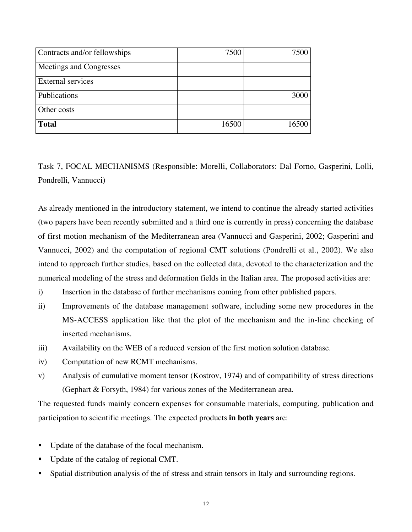| Contracts and/or fellowships | 7500  | 7500  |
|------------------------------|-------|-------|
| Meetings and Congresses      |       |       |
| <b>External services</b>     |       |       |
| Publications                 |       | 3000  |
| Other costs                  |       |       |
| <b>Total</b>                 | 16500 | 16500 |

Task 7, FOCAL MECHANISMS (Responsible: Morelli, Collaborators: Dal Forno, Gasperini, Lolli, Pondrelli, Vannucci)

As already mentioned in the introductory statement, we intend to continue the already started activities (two papers have been recently submitted and a third one is currently in press) concerning the database of first motion mechanism of the Mediterranean area (Vannucci and Gasperini, 2002; Gasperini and Vannucci, 2002) and the computation of regional CMT solutions (Pondrelli et al., 2002). We also intend to approach further studies, based on the collected data, devoted to the characterization and the numerical modeling of the stress and deformation fields in the Italian area. The proposed activities are:

- i) Insertion in the database of further mechanisms coming from other published papers.
- ii) Improvements of the database management software, including some new procedures in the MS-ACCESS application like that the plot of the mechanism and the in-line checking of inserted mechanisms.
- iii) Availability on the WEB of a reduced version of the first motion solution database.
- iv) Computation of new RCMT mechanisms.
- v) Analysis of cumulative moment tensor (Kostrov, 1974) and of compatibility of stress directions (Gephart & Forsyth, 1984) for various zones of the Mediterranean area.

The requested funds mainly concern expenses for consumable materials, computing, publication and participation to scientific meetings. The expected products **in both years** are:

- Update of the database of the focal mechanism.
- Update of the catalog of regional CMT.
- Spatial distribution analysis of the of stress and strain tensors in Italy and surrounding regions.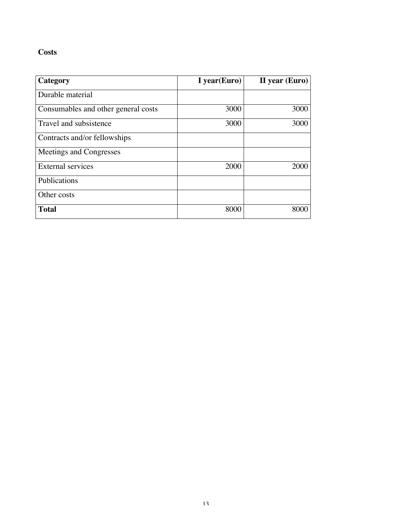## **Costs**

| Category                            | I year(Euro) | II year (Euro) |
|-------------------------------------|--------------|----------------|
| Durable material                    |              |                |
| Consumables and other general costs | 3000         | 3000           |
| Travel and subsistence              | 3000         | 3000           |
| Contracts and/or fellowships        |              |                |
| Meetings and Congresses             |              |                |
| <b>External services</b>            | 2000         | 2000           |
| Publications                        |              |                |
| Other costs                         |              |                |
| <b>Total</b>                        | 8000         | 8000           |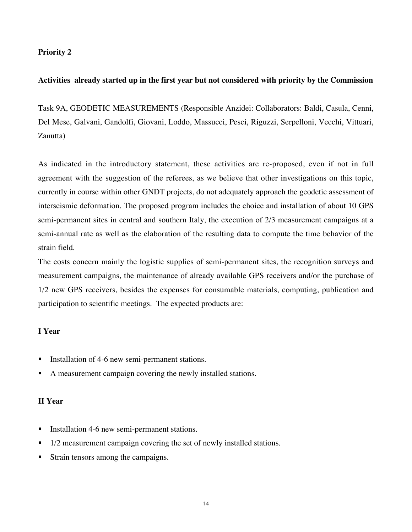### **Priority 2**

#### **Activities already started up in the first year but not considered with priority by the Commission**

Task 9A, GEODETIC MEASUREMENTS (Responsible Anzidei: Collaborators: Baldi, Casula, Cenni, Del Mese, Galvani, Gandolfi, Giovani, Loddo, Massucci, Pesci, Riguzzi, Serpelloni, Vecchi, Vittuari, Zanutta)

As indicated in the introductory statement, these activities are re-proposed, even if not in full agreement with the suggestion of the referees, as we believe that other investigations on this topic, currently in course within other GNDT projects, do not adequately approach the geodetic assessment of interseismic deformation. The proposed program includes the choice and installation of about 10 GPS semi-permanent sites in central and southern Italy, the execution of 2/3 measurement campaigns at a semi-annual rate as well as the elaboration of the resulting data to compute the time behavior of the strain field.

The costs concern mainly the logistic supplies of semi-permanent sites, the recognition surveys and measurement campaigns, the maintenance of already available GPS receivers and/or the purchase of 1/2 new GPS receivers, besides the expenses for consumable materials, computing, publication and participation to scientific meetings. The expected products are:

#### **I Year**

- Installation of 4-6 new semi-permanent stations.
- A measurement campaign covering the newly installed stations.

#### **II Year**

- Installation 4-6 new semi-permanent stations.
- 1/2 measurement campaign covering the set of newly installed stations.
- Strain tensors among the campaigns.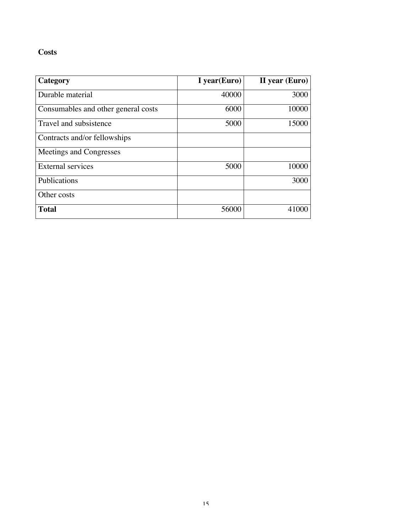## **Costs**

| Category                            | I year(Euro) | II year (Euro) |
|-------------------------------------|--------------|----------------|
| Durable material                    | 40000        | 3000           |
| Consumables and other general costs | 6000         | 10000          |
| Travel and subsistence              | 5000         | 15000          |
| Contracts and/or fellowships        |              |                |
| Meetings and Congresses             |              |                |
| <b>External services</b>            | 5000         | 10000          |
| Publications                        |              | 3000           |
| Other costs                         |              |                |
| <b>Total</b>                        | 56000        | 41000          |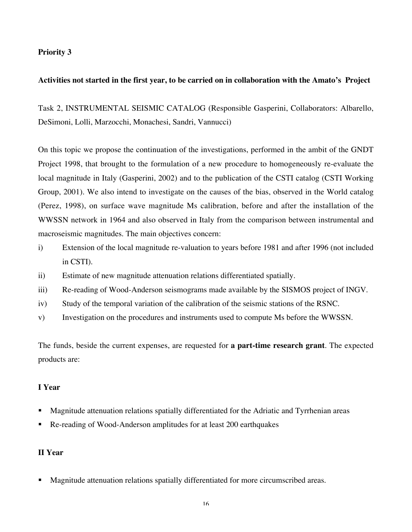### **Priority 3**

### **Activities not started in the first year, to be carried on in collaboration with the Amato's Project**

Task 2, INSTRUMENTAL SEISMIC CATALOG (Responsible Gasperini, Collaborators: Albarello, DeSimoni, Lolli, Marzocchi, Monachesi, Sandri, Vannucci)

On this topic we propose the continuation of the investigations, performed in the ambit of the GNDT Project 1998, that brought to the formulation of a new procedure to homogeneously re-evaluate the local magnitude in Italy (Gasperini, 2002) and to the publication of the CSTI catalog (CSTI Working Group, 2001). We also intend to investigate on the causes of the bias, observed in the World catalog (Perez, 1998), on surface wave magnitude Ms calibration, before and after the installation of the WWSSN network in 1964 and also observed in Italy from the comparison between instrumental and macroseismic magnitudes. The main objectives concern:

- i) Extension of the local magnitude re-valuation to years before 1981 and after 1996 (not included in CSTI).
- ii) Estimate of new magnitude attenuation relations differentiated spatially.
- iii) Re-reading of Wood-Anderson seismograms made available by the SISMOS project of INGV.
- iv) Study of the temporal variation of the calibration of the seismic stations of the RSNC.
- v) Investigation on the procedures and instruments used to compute Ms before the WWSSN.

The funds, beside the current expenses, are requested for **a part-time research grant**. The expected products are:

#### **I Year**

- Magnitude attenuation relations spatially differentiated for the Adriatic and Tyrrhenian areas
- Re-reading of Wood-Anderson amplitudes for at least 200 earthquakes

### **II Year**

Magnitude attenuation relations spatially differentiated for more circumscribed areas.

16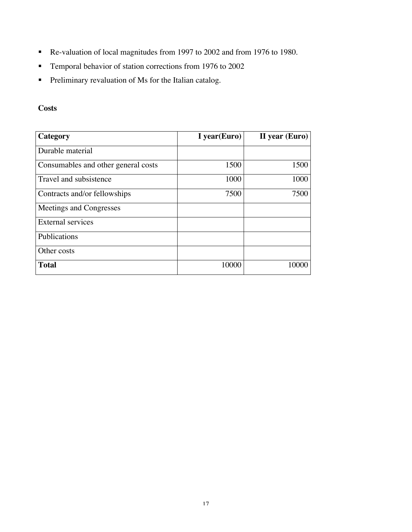- Re-valuation of local magnitudes from 1997 to 2002 and from 1976 to 1980.
- **Temporal behavior of station corrections from 1976 to 2002**
- **Preliminary revaluation of Ms for the Italian catalog.**

## **Costs**

| Category                            | I year(Euro) | II year (Euro) |
|-------------------------------------|--------------|----------------|
| Durable material                    |              |                |
| Consumables and other general costs | 1500         | 1500           |
| Travel and subsistence              | 1000         | 1000           |
| Contracts and/or fellowships        | 7500         | 7500           |
| Meetings and Congresses             |              |                |
| External services                   |              |                |
| Publications                        |              |                |
| Other costs                         |              |                |
| <b>Total</b>                        | 10000        | 10000          |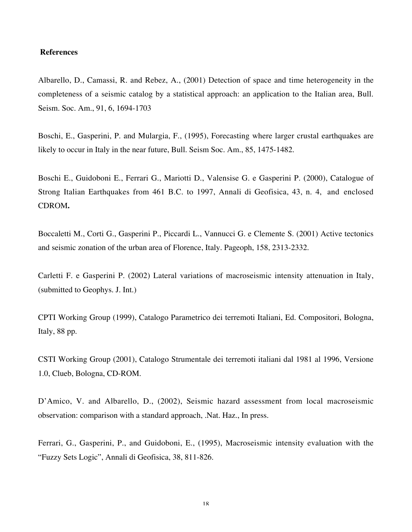#### **References**

Albarello, D., Camassi, R. and Rebez, A., (2001) Detection of space and time heterogeneity in the completeness of a seismic catalog by a statistical approach: an application to the Italian area, Bull. Seism. Soc. Am., 91, 6, 1694-1703

Boschi, E., Gasperini, P. and Mulargia, F., (1995), Forecasting where larger crustal earthquakes are likely to occur in Italy in the near future, Bull. Seism Soc. Am., 85, 1475-1482.

Boschi E., Guidoboni E., Ferrari G., Mariotti D., Valensise G. e Gasperini P. (2000), Catalogue of Strong Italian Earthquakes from 461 B.C. to 1997, Annali di Geofisica, 43, n. 4, and enclosed CDROM**.**

Boccaletti M., Corti G., Gasperini P., Piccardi L., Vannucci G. e Clemente S. (2001) Active tectonics and seismic zonation of the urban area of Florence, Italy. Pageoph, 158, 2313-2332.

Carletti F. e Gasperini P. (2002) Lateral variations of macroseismic intensity attenuation in Italy, (submitted to Geophys. J. Int.)

CPTI Working Group (1999), Catalogo Parametrico dei terremoti Italiani, Ed. Compositori, Bologna, Italy, 88 pp.

CSTI Working Group (2001), Catalogo Strumentale dei terremoti italiani dal 1981 al 1996, Versione 1.0, Clueb, Bologna, CD-ROM.

D'Amico, V. and Albarello, D., (2002), Seismic hazard assessment from local macroseismic observation: comparison with a standard approach, .Nat. Haz., In press.

Ferrari, G., Gasperini, P., and Guidoboni, E., (1995), Macroseismic intensity evaluation with the "Fuzzy Sets Logic", Annali di Geofisica, 38, 811-826.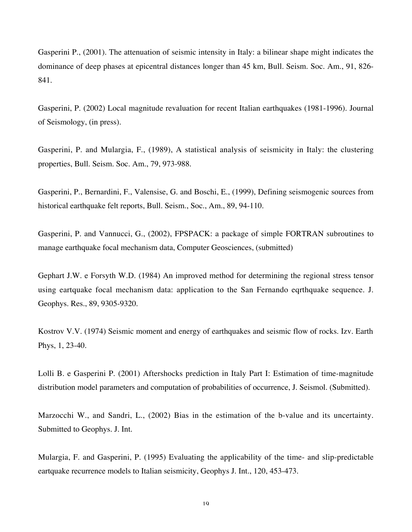Gasperini P., (2001). The attenuation of seismic intensity in Italy: a bilinear shape might indicates the dominance of deep phases at epicentral distances longer than 45 km, Bull. Seism. Soc. Am., 91, 826- 841.

Gasperini, P. (2002) Local magnitude revaluation for recent Italian earthquakes (1981-1996). Journal of Seismology, (in press).

Gasperini, P. and Mulargia, F., (1989), A statistical analysis of seismicity in Italy: the clustering properties, Bull. Seism. Soc. Am., 79, 973-988.

Gasperini, P., Bernardini, F., Valensise, G. and Boschi, E., (1999), Defining seismogenic sources from historical earthquake felt reports, Bull. Seism., Soc., Am., 89, 94-110.

Gasperini, P. and Vannucci, G., (2002), FPSPACK: a package of simple FORTRAN subroutines to manage earthquake focal mechanism data, Computer Geosciences, (submitted)

Gephart J.W. e Forsyth W.D. (1984) An improved method for determining the regional stress tensor using eartquake focal mechanism data: application to the San Fernando eqrthquake sequence. J. Geophys. Res., 89, 9305-9320.

Kostrov V.V. (1974) Seismic moment and energy of earthquakes and seismic flow of rocks. Izv. Earth Phys, 1, 23-40.

Lolli B. e Gasperini P. (2001) Aftershocks prediction in Italy Part I: Estimation of time-magnitude distribution model parameters and computation of probabilities of occurrence, J. Seismol. (Submitted).

Marzocchi W., and Sandri, L., (2002) Bias in the estimation of the b-value and its uncertainty. Submitted to Geophys. J. Int.

Mulargia, F. and Gasperini, P. (1995) Evaluating the applicability of the time- and slip-predictable eartquake recurrence models to Italian seismicity, Geophys J. Int., 120, 453-473.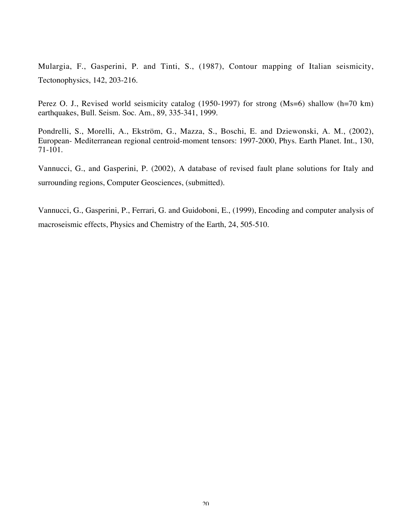Mulargia, F., Gasperini, P. and Tinti, S., (1987), Contour mapping of Italian seismicity, Tectonophysics, 142, 203-216.

Perez O. J., Revised world seismicity catalog (1950-1997) for strong (Ms=6) shallow (h=70 km) earthquakes, Bull. Seism. Soc. Am., 89, 335-341, 1999.

Pondrelli, S., Morelli, A., Ekström, G., Mazza, S., Boschi, E. and Dziewonski, A. M., (2002), European- Mediterranean regional centroid-moment tensors: 1997-2000, Phys. Earth Planet. Int., 130, 71-101.

Vannucci, G., and Gasperini, P. (2002), A database of revised fault plane solutions for Italy and surrounding regions, Computer Geosciences, (submitted).

Vannucci, G., Gasperini, P., Ferrari, G. and Guidoboni, E., (1999), Encoding and computer analysis of macroseismic effects, Physics and Chemistry of the Earth, 24, 505-510.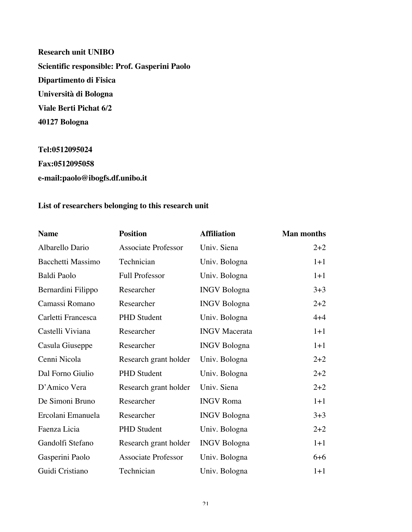**Research unit UNIBO Scientific responsible: Prof. Gasperini Paolo Dipartimento di Fisica Università di Bologna Viale Berti Pichat 6/2 40127 Bologna**

**Tel:0512095024 Fax:0512095058 e-mail:paolo@ibogfs.df.unibo.it**

## **List of researchers belonging to this research unit**

| <b>Name</b>        | <b>Position</b>            | <b>Affiliation</b>   | <b>Man months</b> |
|--------------------|----------------------------|----------------------|-------------------|
| Albarello Dario    | <b>Associate Professor</b> | Univ. Siena          | $2 + 2$           |
| Bacchetti Massimo  | Technician                 | Univ. Bologna        | $1 + 1$           |
| Baldi Paolo        | Full Professor             | Univ. Bologna        | $1 + 1$           |
| Bernardini Filippo | Researcher                 | <b>INGV</b> Bologna  | $3 + 3$           |
| Camassi Romano     | Researcher                 | <b>INGV</b> Bologna  | $2 + 2$           |
| Carletti Francesca | <b>PHD</b> Student         | Univ. Bologna        | $4 + 4$           |
| Castelli Viviana   | Researcher                 | <b>INGV</b> Macerata | $1 + 1$           |
| Casula Giuseppe    | Researcher                 | <b>INGV</b> Bologna  | $1 + 1$           |
| Cenni Nicola       | Research grant holder      | Univ. Bologna        | $2 + 2$           |
| Dal Forno Giulio   | <b>PHD Student</b>         | Univ. Bologna        | $2 + 2$           |
| D'Amico Vera       | Research grant holder      | Univ. Siena          | $2 + 2$           |
| De Simoni Bruno    | Researcher                 | <b>INGV</b> Roma     | $1 + 1$           |
| Ercolani Emanuela  | Researcher                 | <b>INGV</b> Bologna  | $3 + 3$           |
| Faenza Licia       | <b>PHD</b> Student         | Univ. Bologna        | $2 + 2$           |
| Gandolfi Stefano   | Research grant holder      | <b>INGV Bologna</b>  | $1 + 1$           |
| Gasperini Paolo    | <b>Associate Professor</b> | Univ. Bologna        | $6 + 6$           |
| Guidi Cristiano    | Technician                 | Univ. Bologna        | $1 + 1$           |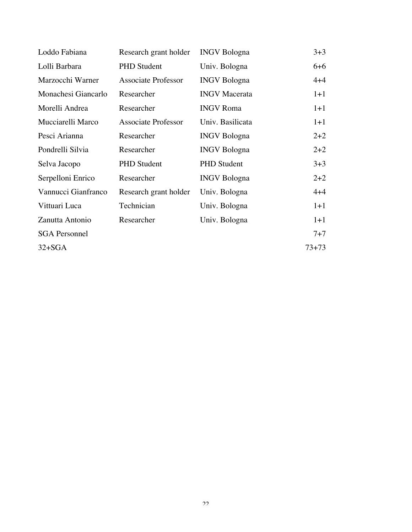| Loddo Fabiana        | Research grant holder      | <b>INGV</b> Bologna  | $3+3$     |
|----------------------|----------------------------|----------------------|-----------|
| Lolli Barbara        | <b>PHD</b> Student         | Univ. Bologna        | $6 + 6$   |
| Marzocchi Warner     | <b>Associate Professor</b> | <b>INGV</b> Bologna  | $4 + 4$   |
| Monachesi Giancarlo  | Researcher                 | <b>INGV</b> Macerata | $1+1$     |
| Morelli Andrea       | Researcher                 | <b>INGV</b> Roma     | $1 + 1$   |
| Mucciarelli Marco    | <b>Associate Professor</b> | Univ. Basilicata     | $1 + 1$   |
| Pesci Arianna        | Researcher                 | <b>INGV</b> Bologna  | $2+2$     |
| Pondrelli Silvia     | Researcher                 | <b>INGV</b> Bologna  | $2+2$     |
| Selva Jacopo         | <b>PHD</b> Student         | <b>PHD</b> Student   | $3 + 3$   |
| Serpelloni Enrico    | Researcher                 | <b>INGV Bologna</b>  | $2+2$     |
| Vannucci Gianfranco  | Research grant holder      | Univ. Bologna        | $4 + 4$   |
| Vittuari Luca        | Technician                 | Univ. Bologna        | $1+1$     |
| Zanutta Antonio      | Researcher                 | Univ. Bologna        | $1+1$     |
| <b>SGA</b> Personnel |                            |                      | $7 + 7$   |
| $32+SGA$             |                            |                      | $73 + 73$ |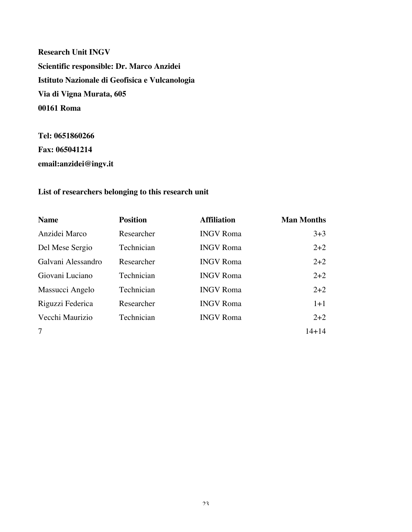**Research Unit INGV Scientific responsible: Dr. Marco Anzidei Istituto Nazionale di Geofisica e Vulcanologia Via di Vigna Murata, 605 00161 Roma**

**Tel: 0651860266 Fax: 065041214 email:anzidei@ingv.it**

## **List of researchers belonging to this research unit**

| <b>Name</b>        | <b>Position</b> | <b>Affiliation</b> | <b>Man Months</b> |
|--------------------|-----------------|--------------------|-------------------|
| Anzidei Marco      | Researcher      | <b>INGV</b> Roma   | $3+3$             |
| Del Mese Sergio    | Technician      | <b>INGV Roma</b>   | $2 + 2$           |
| Galvani Alessandro | Researcher      | <b>INGV</b> Roma   | $2 + 2$           |
| Giovani Luciano    | Technician      | <b>INGV</b> Roma   | $2 + 2$           |
| Massucci Angelo    | Technician      | <b>INGV Roma</b>   | $2 + 2$           |
| Riguzzi Federica   | Researcher      | <b>INGV</b> Roma   | $1+1$             |
| Vecchi Maurizio    | Technician      | <b>INGV</b> Roma   | $2 + 2$           |
| $\tau$             |                 |                    | $14 + 14$         |